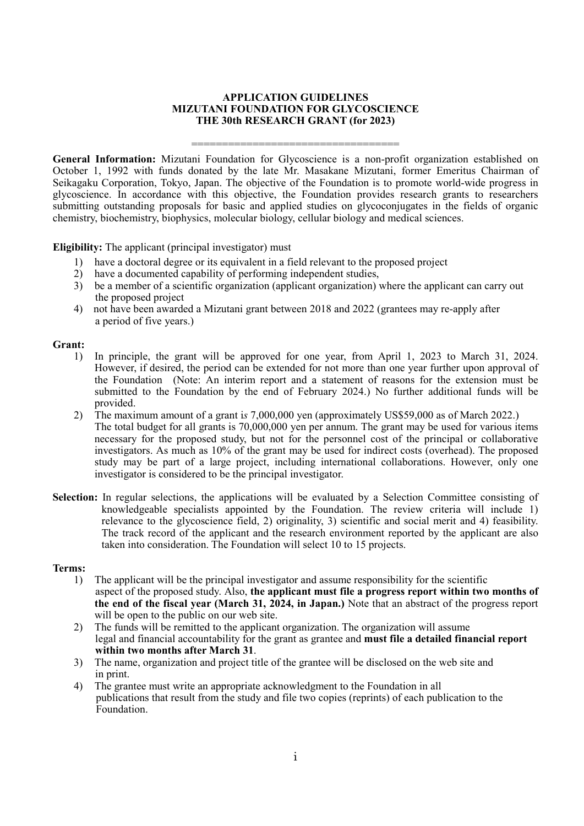#### **APPLICATION GUIDELINES MIZUTANI FOUNDATION FOR GLYCOSCIENCE THE 30th RESEARCH GRANT (for 2023)**

==================================

**General Information:** Mizutani Foundation for Glycoscience is a non-profit organization established on October 1, 1992 with funds donated by the late Mr. Masakane Mizutani, former Emeritus Chairman of Seikagaku Corporation, Tokyo, Japan. The objective of the Foundation is to promote world-wide progress in glycoscience. In accordance with this objective, the Foundation provides research grants to researchers submitting outstanding proposals for basic and applied studies on glycoconjugates in the fields of organic chemistry, biochemistry, biophysics, molecular biology, cellular biology and medical sciences.

**Eligibility:** The applicant (principal investigator) must

- 1) have a doctoral degree or its equivalent in a field relevant to the proposed project 2) have a documented capability of performing independent studies.
- 2) have a documented capability of performing independent studies,<br>3) be a member of a scientific organization (applicant organization)
- be a member of a scientific organization (applicant organization) where the applicant can carry out the proposed project
- 4) not have been awarded a Mizutani grant between 2018 and 2022 (grantees may re-apply after a period of five years.)

#### **Grant:**

- 1) In principle, the grant will be approved for one year, from April 1, 2023 to March 31, 2024. However, if desired, the period can be extended for not more than one year further upon approval of the Foundation (Note: An interim report and a statement of reasons for the extension must be submitted to the Foundation by the end of February 2024.) No further additional funds will be provided.
- 2) The maximum amount of a grant i*s* 7,000,000 yen (approximately US\$59,000 as of March 2022.) The total budget for all grants is 70,000,000 yen per annum. The grant may be used for various items necessary for the proposed study, but not for the personnel cost of the principal or collaborative investigators. As much as 10% of the grant may be used for indirect costs (overhead). The proposed study may be part of a large project, including international collaborations. However, only one investigator is considered to be the principal investigator.
- **Selection:** In regular selections, the applications will be evaluated by a Selection Committee consisting of knowledgeable specialists appointed by the Foundation. The review criteria will include 1) relevance to the glycoscience field, 2) originality, 3) scientific and social merit and 4) feasibility. The track record of the applicant and the research environment reported by the applicant are also taken into consideration. The Foundation will select 10 to 15 projects.

#### **Terms:**

- 1) The applicant will be the principal investigator and assume responsibility for the scientific aspect of the proposed study. Also, **the applicant must file a progress report within two months of the end of the fiscal year (March 31, 2024, in Japan.)** Note that an abstract of the progress report will be open to the public on our web site.
- 2) The funds will be remitted to the applicant organization. The organization will assume legal and financial accountability for the grant as grantee and **must file a detailed financial report within two months after March 31**.
- 3) The name, organization and project title of the grantee will be disclosed on the web site and in print.
- 4) The grantee must write an appropriate acknowledgment to the Foundation in all publications that result from the study and file two copies (reprints) of each publication to the Foundation.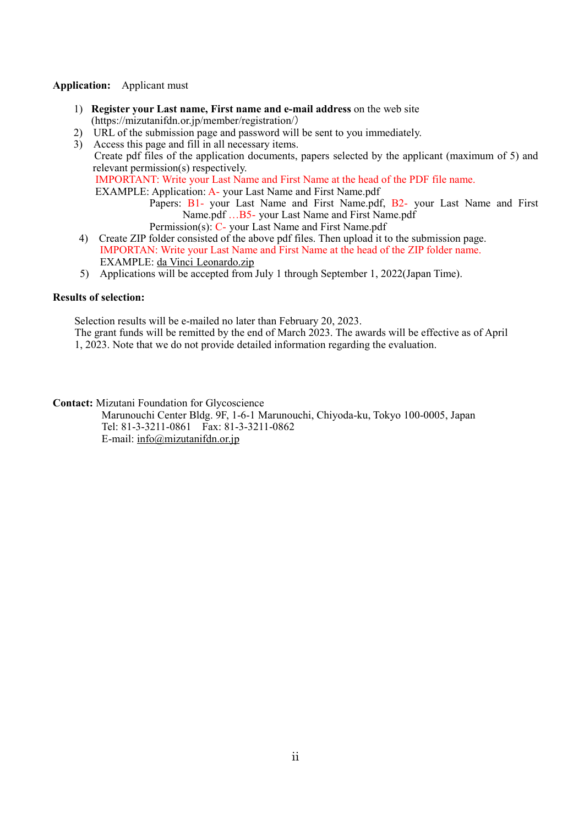#### **Application:** Applicant must

- 1) **Register your Last name, First name and e-mail address** on the web site (https://mizutanifdn.or.jp/member/registration/)
- 2) URL of the submission page and password will be sent to you immediately.
- 3) Access this page and fill in all necessary items. Create pdf files of the application documents, papers selected by the applicant (maximum of 5) and relevant permission(s) respectively. IMPORTANT: Write your Last Name and First Name at the head of the PDF file name. EXAMPLE: Application: A- your Last Name and First Name.pdf Papers: B1- your Last Name and First Name.pdf, B2- your Last Name and First

Name.pdf …B5- your Last Name and First Name.pdf

- Permission(s): C- your Last Name and First Name.pdf 4) Create ZIP folder consisted of the above pdf files. Then upload it to the submission page. IMPORTAN: Write your Last Name and First Name at the head of the ZIP folder name.
- EXAMPLE: da Vinci Leonardo.zip 5) Applications will be accepted from July 1 through September 1, 2022(Japan Time).

#### **Results of selection:**

Selection results will be e-mailed no later than February 20, 2023.

The grant funds will be remitted by the end of March 2023. The awards will be effective as of April 1, 2023. Note that we do not provide detailed information regarding the evaluation.

**Contact:** Mizutani Foundation for Glycoscience

Marunouchi Center Bldg. 9F, 1-6-1 Marunouchi, Chiyoda-ku, Tokyo 100-0005, Japan Tel: 81-3-3211-0861 Fax: 81-3-3211-0862 E-mail: info@mizutanifdn.or.jp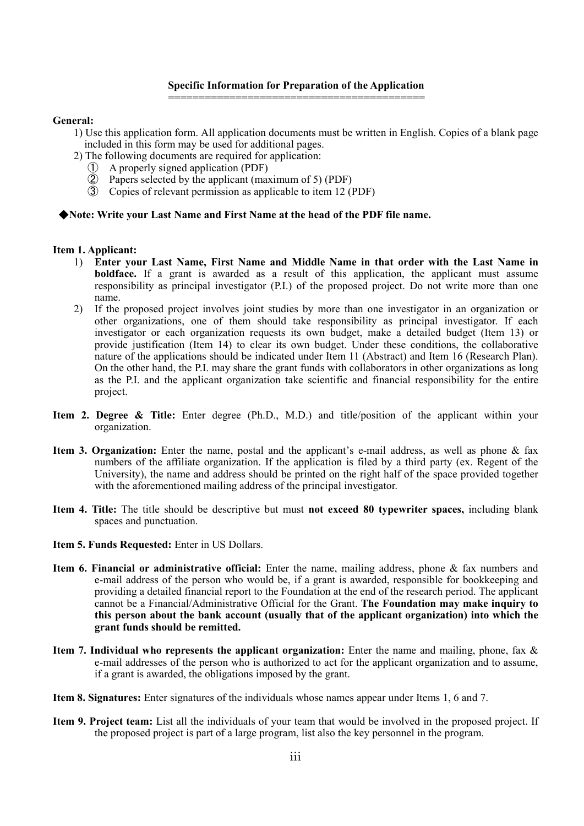#### **Specific Information for Preparation of the Application** ==========================================

#### **General:**

- 1) Use this application form. All application documents must be written in English. Copies of a blank page included in this form may be used for additional pages.
- 2) The following documents are required for application:
	- ① A properly signed application (PDF)
	- ② Papers selected by the applicant (maximum of 5) (PDF)
	- ③ Copies of relevant permission as applicable to item 12 (PDF)

#### ◆**Note: Write your Last Name and First Name at the head of the PDF file name.**

#### **Item 1. Applicant:**

- 1) **Enter your Last Name, First Name and Middle Name in that order with the Last Name in boldface.** If a grant is awarded as a result of this application, the applicant must assume responsibility as principal investigator (P.I.) of the proposed project. Do not write more than one name.
- 2) If the proposed project involves joint studies by more than one investigator in an organization or other organizations, one of them should take responsibility as principal investigator. If each investigator or each organization requests its own budget, make a detailed budget (Item 13) or provide justification (Item 14) to clear its own budget. Under these conditions, the collaborative nature of the applications should be indicated under Item 11 (Abstract) and Item 16 (Research Plan). On the other hand, the P.I. may share the grant funds with collaborators in other organizations as long as the P.I. and the applicant organization take scientific and financial responsibility for the entire project.
- **Item 2. Degree & Title:** Enter degree (Ph.D., M.D.) and title/position of the applicant within your organization.
- **Item 3. Organization:** Enter the name, postal and the applicant's e-mail address, as well as phone & fax numbers of the affiliate organization. If the application is filed by a third party (ex. Regent of the University), the name and address should be printed on the right half of the space provided together with the aforementioned mailing address of the principal investigator.
- **Item 4. Title:** The title should be descriptive but must **not exceed 80 typewriter spaces,** including blank spaces and punctuation.
- **Item 5. Funds Requested:** Enter in US Dollars.
- **Item 6. Financial or administrative official:** Enter the name, mailing address, phone & fax numbers and e-mail address of the person who would be, if a grant is awarded, responsible for bookkeeping and providing a detailed financial report to the Foundation at the end of the research period. The applicant cannot be a Financial/Administrative Official for the Grant. **The Foundation may make inquiry to this person about the bank account (usually that of the applicant organization) into which the grant funds should be remitted.**
- **Item 7. Individual who represents the applicant organization:** Enter the name and mailing, phone, fax & e-mail addresses of the person who is authorized to act for the applicant organization and to assume, if a grant is awarded, the obligations imposed by the grant.
- **Item 8. Signatures:** Enter signatures of the individuals whose names appear under Items 1, 6 and 7.
- **Item 9. Project team:** List all the individuals of your team that would be involved in the proposed project. If the proposed project is part of a large program, list also the key personnel in the program.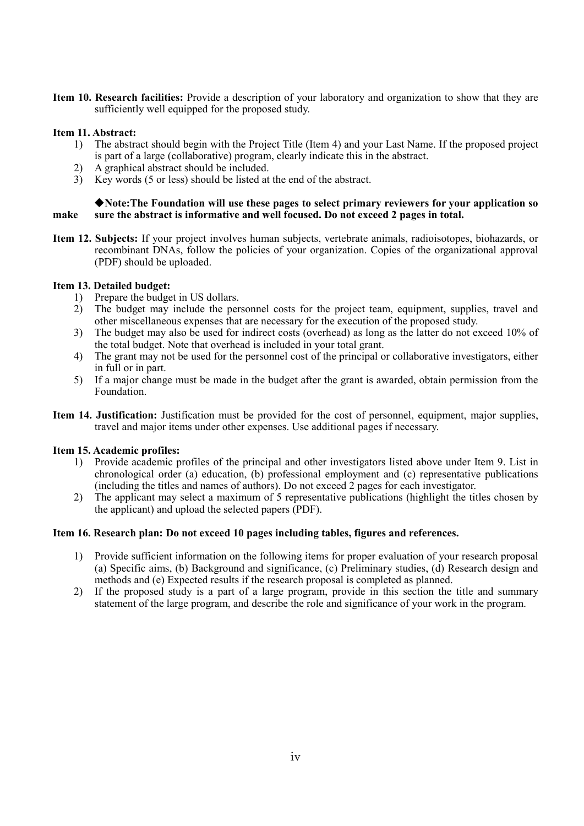**Item 10. Research facilities:** Provide a description of your laboratory and organization to show that they are sufficiently well equipped for the proposed study.

## **Item 11. Abstract:**

- 1) The abstract should begin with the Project Title (Item 4) and your Last Name. If the proposed project is part of a large (collaborative) program, clearly indicate this in the abstract.
- 2) A graphical abstract should be included.
- 3) Key words (5 or less) should be listed at the end of the abstract.

#### ◆**Note:The Foundation will use these pages to select primary reviewers for your application so make sure the abstract is informative and well focused. Do not exceed 2 pages in total.**

**Item 12. Subjects:** If your project involves human subjects, vertebrate animals, radioisotopes, biohazards, or recombinant DNAs, follow the policies of your organization. Copies of the organizational approval (PDF) should be uploaded.

## **Item 13. Detailed budget:**

- 1) Prepare the budget in US dollars.
- 2) The budget may include the personnel costs for the project team, equipment, supplies, travel and other miscellaneous expenses that are necessary for the execution of the proposed study.
- 3) The budget may also be used for indirect costs (overhead) as long as the latter do not exceed 10% of the total budget. Note that overhead is included in your total grant.
- 4) The grant may not be used for the personnel cost of the principal or collaborative investigators, either in full or in part.
- 5) If a major change must be made in the budget after the grant is awarded, obtain permission from the Foundation.
- **Item 14. Justification:** Justification must be provided for the cost of personnel, equipment, major supplies, travel and major items under other expenses. Use additional pages if necessary.

#### **Item 15. Academic profiles:**

- 1) Provide academic profiles of the principal and other investigators listed above under Item 9. List in chronological order (a) education, (b) professional employment and (c) representative publications (including the titles and names of authors). Do not exceed 2 pages for each investigator.
- 2) The applicant may select a maximum of 5 representative publications (highlight the titles chosen by the applicant) and upload the selected papers (PDF).

#### **Item 16. Research plan: Do not exceed 10 pages including tables, figures and references.**

- 1) Provide sufficient information on the following items for proper evaluation of your research proposal (a) Specific aims, (b) Background and significance, (c) Preliminary studies, (d) Research design and methods and (e) Expected results if the research proposal is completed as planned.
- 2) If the proposed study is a part of a large program, provide in this section the title and summary statement of the large program, and describe the role and significance of your work in the program.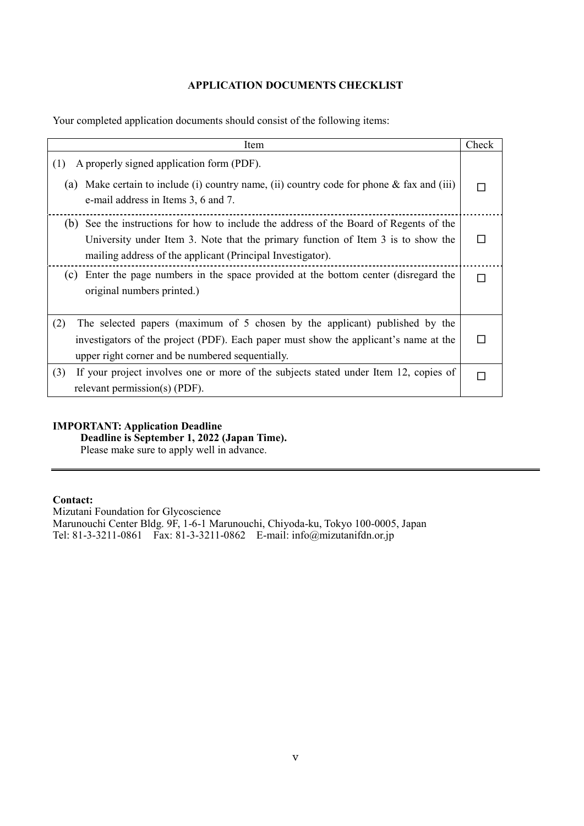#### **APPLICATION DOCUMENTS CHECKLIST**

Your completed application documents should consist of the following items:

| Item                                                                                                                                                                                                                                        | Check |
|---------------------------------------------------------------------------------------------------------------------------------------------------------------------------------------------------------------------------------------------|-------|
| A properly signed application form (PDF).<br>(1)<br>Make certain to include (i) country name, (ii) country code for phone $\&$ fax and (iii)<br>(a)<br>e-mail address in Items 3, 6 and 7.                                                  |       |
| See the instructions for how to include the address of the Board of Regents of the<br>(b)<br>University under Item 3. Note that the primary function of Item 3 is to show the<br>mailing address of the applicant (Principal Investigator). |       |
| Enter the page numbers in the space provided at the bottom center (disregard the<br>(c)<br>original numbers printed.)                                                                                                                       |       |
| (2)<br>The selected papers (maximum of 5 chosen by the applicant) published by the<br>investigators of the project (PDF). Each paper must show the applicant's name at the<br>upper right corner and be numbered sequentially.              |       |
| (3)<br>If your project involves one or more of the subjects stated under Item 12, copies of<br>relevant permission(s) (PDF).                                                                                                                |       |

## **IMPORTANT: Application Deadline**

**Deadline is September 1, 2022 (Japan Time).**

Please make sure to apply well in advance.

## **Contact:**

Mizutani Foundation for Glycoscience Marunouchi Center Bldg. 9F, 1-6-1 Marunouchi, Chiyoda-ku, Tokyo 100-0005, Japan Tel: 81-3-3211-0861 Fax: 81-3-3211-0862 E-mail: info@mizutanifdn.or.jp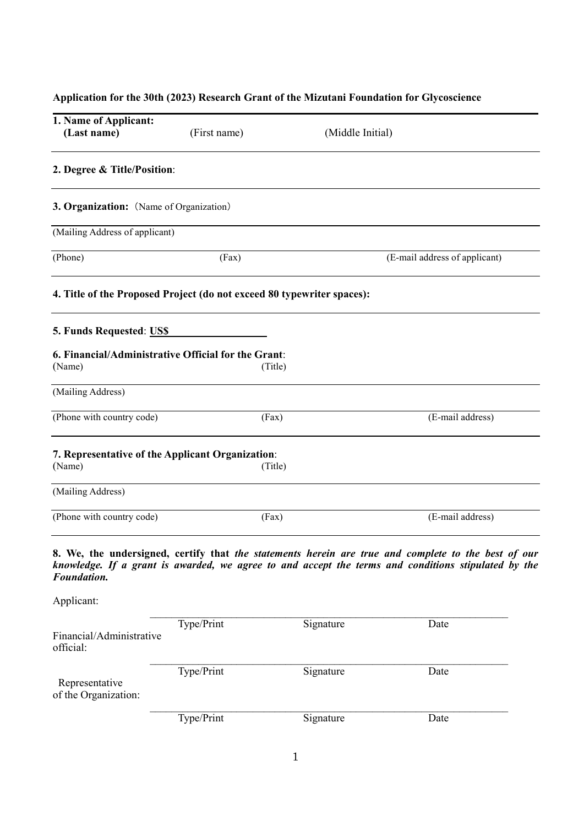# **Application for the 30th (2023) Research Grant of the Mizutani Foundation for Glycoscience**

| 1. Name of Applicant:<br>(Last name)                                   | (First name) | (Middle Initial) |                                                                                                                                                                                                            |  |
|------------------------------------------------------------------------|--------------|------------------|------------------------------------------------------------------------------------------------------------------------------------------------------------------------------------------------------------|--|
| 2. Degree & Title/Position:                                            |              |                  |                                                                                                                                                                                                            |  |
| 3. Organization: (Name of Organization)                                |              |                  |                                                                                                                                                                                                            |  |
| (Mailing Address of applicant)                                         |              |                  |                                                                                                                                                                                                            |  |
| (Phone)                                                                | (Fax)        |                  | (E-mail address of applicant)                                                                                                                                                                              |  |
| 4. Title of the Proposed Project (do not exceed 80 typewriter spaces): |              |                  |                                                                                                                                                                                                            |  |
| 5. Funds Requested: US\$                                               |              |                  |                                                                                                                                                                                                            |  |
| 6. Financial/Administrative Official for the Grant:<br>(Name)          |              | (Title)          |                                                                                                                                                                                                            |  |
| (Mailing Address)                                                      |              |                  |                                                                                                                                                                                                            |  |
| (Phone with country code)                                              |              | (Fax)            | (E-mail address)                                                                                                                                                                                           |  |
| 7. Representative of the Applicant Organization:<br>(Name)             |              | (Title)          |                                                                                                                                                                                                            |  |
| (Mailing Address)                                                      |              |                  |                                                                                                                                                                                                            |  |
| (Phone with country code)                                              |              | (Fax)            | (E-mail address)                                                                                                                                                                                           |  |
| Foundation.                                                            |              |                  | 8. We, the undersigned, certify that the statements herein are true and complete to the best of our<br>knowledge. If a grant is awarded, we agree to and accept the terms and conditions stipulated by the |  |
| Applicant:                                                             |              |                  |                                                                                                                                                                                                            |  |
| Financial/Administrative<br>official:                                  | Type/Print   | Signature        | Date                                                                                                                                                                                                       |  |
| Representative<br>of the Organization:                                 | Type/Print   | Signature        | Date                                                                                                                                                                                                       |  |
|                                                                        | Type/Print   | Signature        | Date                                                                                                                                                                                                       |  |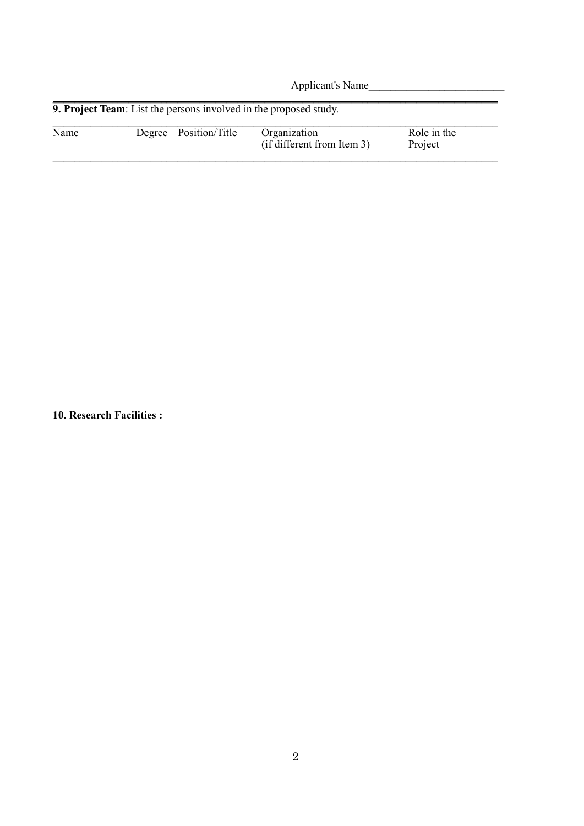Applicant's Name\_\_\_\_\_\_\_\_\_\_\_\_\_\_\_\_\_\_\_\_\_\_\_\_\_ \_\_\_\_\_\_\_\_\_\_\_\_\_\_\_\_\_\_\_\_\_\_\_\_\_\_\_\_\_\_\_\_\_\_\_\_\_\_\_\_\_\_\_\_\_\_\_\_\_\_\_\_\_\_\_\_\_\_\_\_\_\_\_\_\_\_\_\_\_\_\_\_\_\_\_\_\_\_\_\_\_\_ **9. Project Team**: List the persons involved in the proposed study.  $\_$ Name Degree Position/Title Organization Role in the (if different from Item 3) Role in the  $(if$  different from Item 3)  $\_$ 

**10. Research Facilities :**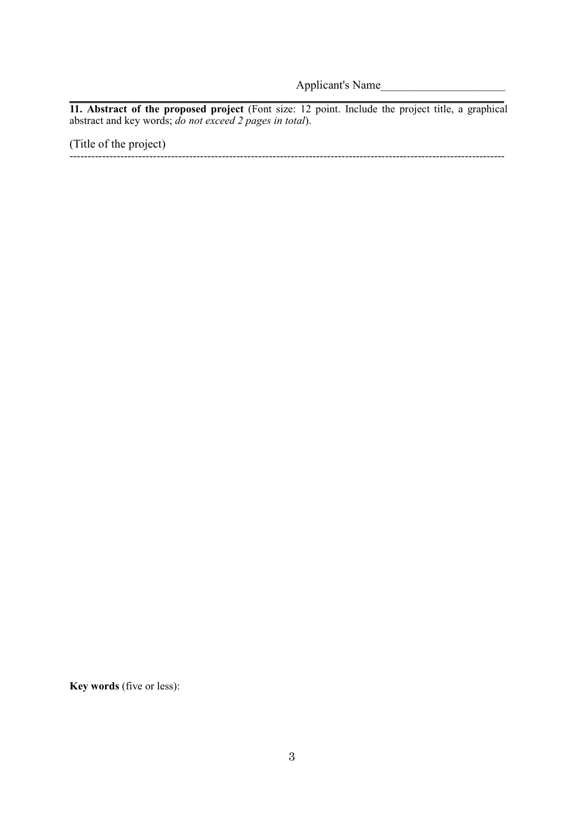Applicant's Name\_\_\_\_\_\_\_\_\_\_\_\_\_\_\_\_\_\_\_\_\_\_\_

\_\_\_\_\_\_\_\_\_\_\_\_\_\_\_\_\_\_\_\_\_\_\_\_\_\_\_\_\_\_\_\_\_\_\_\_\_\_\_\_\_\_\_\_\_\_\_\_\_\_\_\_\_\_\_\_\_\_\_\_\_\_\_\_\_\_\_\_\_\_\_\_\_\_\_\_\_\_\_\_ **11. Abstract of the proposed project** (Font size: 12 point. Include the project title, a graphical abstract and key words; *do not exceed 2 pages in total*).

(Title of the project)

------------------------------------------------------------------------------------------------------------------------

**Key words** (five or less):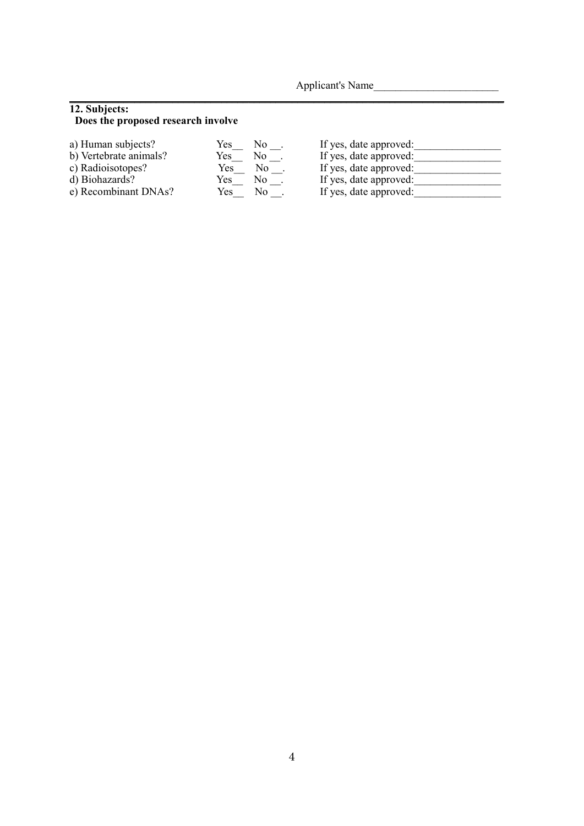Applicant's Name

## **12. Subjects:**

## **Does the proposed research involve**

| a) Human subjects?     | Yes | No. | If yes, date approved: |
|------------------------|-----|-----|------------------------|
| b) Vertebrate animals? | Yes | No. | If yes, date approved: |
| c) Radioisotopes?      | Yes | No. | If yes, date approved: |
| d) Biohazards?         | Yes | No  | If yes, date approved: |
| e) Recombinant DNAs?   | Yes | Nο  | If yes, date approved: |
|                        |     |     |                        |

\_\_\_\_\_\_\_\_\_\_\_\_\_\_\_\_\_\_\_\_\_\_\_\_\_\_\_\_\_\_\_\_\_\_\_\_\_\_\_\_\_\_\_\_\_\_\_\_\_\_\_\_\_\_\_\_\_\_\_\_\_\_\_\_\_\_\_\_\_\_\_\_\_\_\_\_\_\_\_\_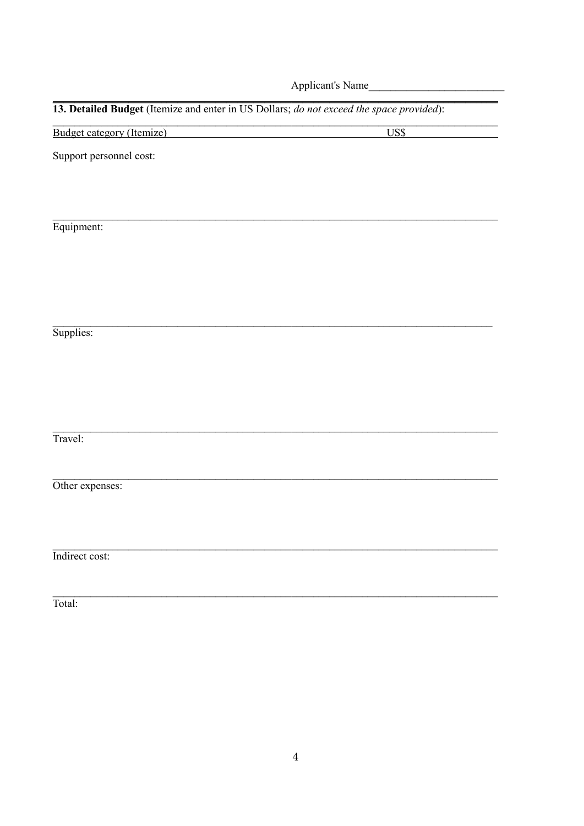Applicant's Name

US\$

# 13. Detailed Budget (Itemize and enter in US Dollars; do not exceed the space provided):

Budget category (Itemize)

Support personnel cost:

Equipment:

Supplies:

Travel:

Other expenses:

Indirect cost:

Total: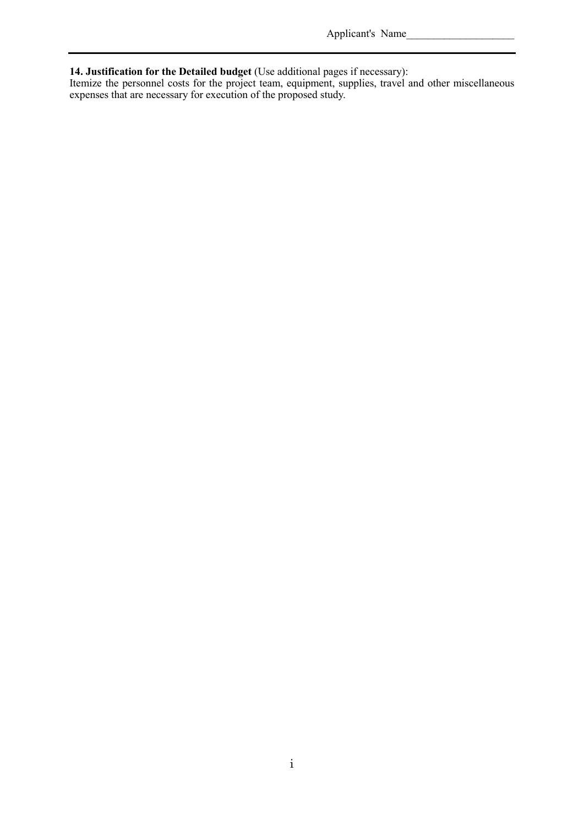Applicant's Name\_

#### **14. Justification for the Detailed budget** (Use additional pages if necessary):

Itemize the personnel costs for the project team, equipment, supplies, travel and other miscellaneous expenses that are necessary for execution of the proposed study.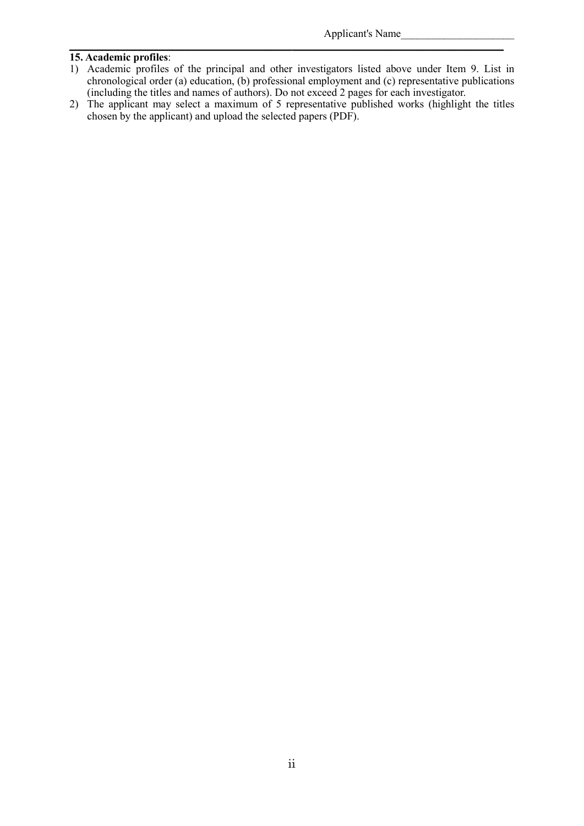## **15. Academic profiles**:

1) Academic profiles of the principal and other investigators listed above under Item 9. List in chronological order (a) education, (b) professional employment and (c) representative publications (including the titles and names of authors). Do not exceed 2 pages for each investigator.

\_\_\_\_\_\_\_\_\_\_\_\_\_\_\_\_\_\_\_\_\_\_\_\_\_\_\_\_\_\_\_\_\_\_\_\_\_\_\_\_\_ \_\_\_\_\_\_\_\_\_\_\_\_\_\_\_\_\_\_\_\_\_\_\_\_\_\_\_\_\_\_\_\_\_\_\_\_\_\_\_

2) The applicant may select a maximum of 5 representative published works (highlight the titles chosen by the applicant) and upload the selected papers (PDF).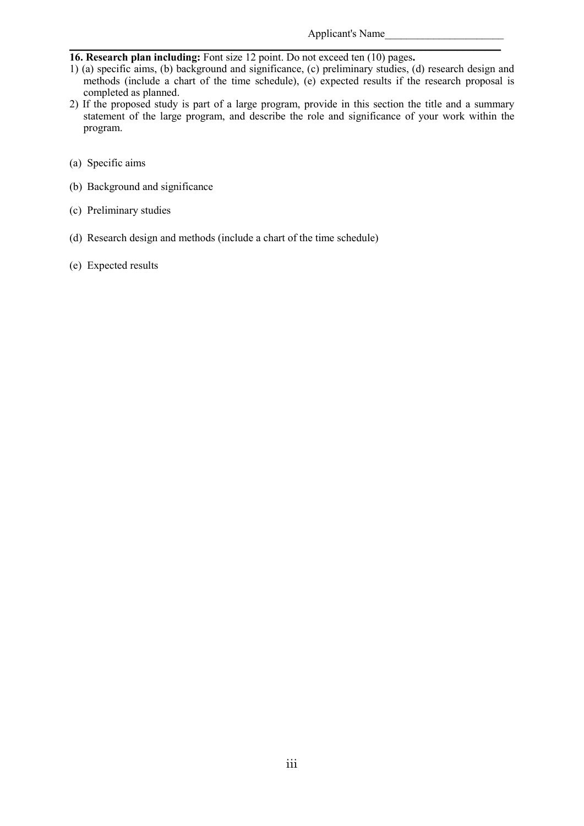## **16. Research plan including:** Font size 12 point. Do not exceed ten (10) pages**.**

1) (a) specific aims, (b) background and significance, (c) preliminary studies, (d) research design and methods (include a chart of the time schedule), (e) expected results if the research proposal is completed as planned.

\_\_\_\_\_\_\_\_\_\_\_\_\_\_\_\_\_\_\_\_\_\_\_\_\_\_\_\_\_\_\_\_\_\_\_\_\_\_\_\_\_\_\_\_\_\_\_\_\_\_\_\_\_\_\_\_\_\_\_\_\_\_\_\_\_\_\_\_\_\_\_\_\_\_\_\_\_\_\_\_

- 2) If the proposed study is part of a large program, provide in this section the title and a summary statement of the large program, and describe the role and significance of your work within the program.
- (a) Specific aims
- (b) Background and significance
- (c) Preliminary studies
- (d) Research design and methods (include a chart of the time schedule)
- (e) Expected results